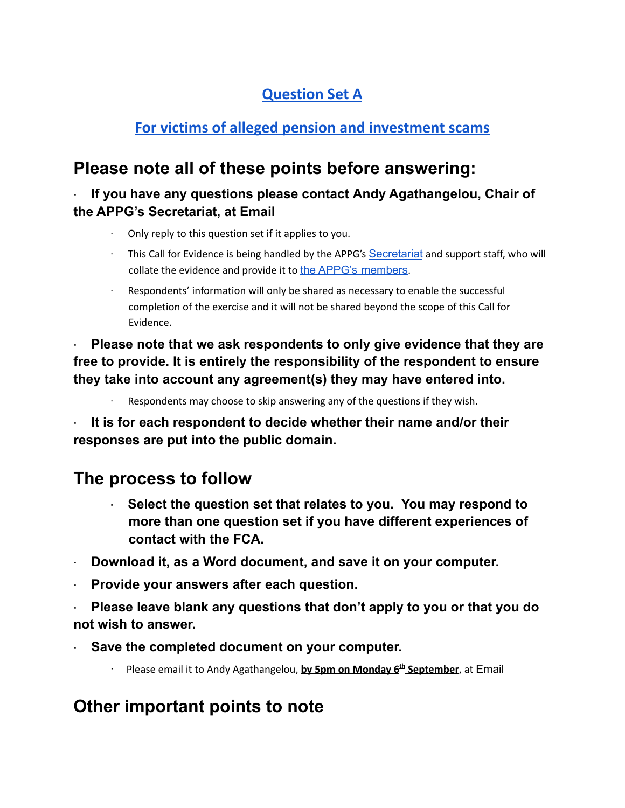## **Question Set A**

### **For victims of alleged pension and investment scams**

## **Please note all of these points before answering:**

### **· If you have any questions please contact Andy Agathangelou, Chair of the APPG's Secretariat, at Email**

- · Only reply to this question set if it applies to you.
- · This Call for Evidence is being handled by the APPG's [Secretariat](https://appgonpersonalbankingandfairerfinancialservices.org/about-us/secretariat) and support staff, who will collate the evidence and provide it to the APPG's [members](https://appgonpersonalbankingandfairerfinancialservices.org/about-us/members).
- Respondents' information will only be shared as necessary to enable the successful completion of the exercise and it will not be shared beyond the scope of this Call for Evidence.

**· Please note that we ask respondents to only give evidence that they are free to provide. It is entirely the responsibility of the respondent to ensure they take into account any agreement(s) they may have entered into.**

Respondents may choose to skip answering any of the questions if they wish.

**· It is for each respondent to decide whether their name and/or their responses are put into the public domain.**

## **The process to follow**

- **· Select the question set that relates to you. You may respond to more than one question set if you have different experiences of contact with the FCA.**
- **· Download it, as a Word document, and save it on your computer.**
- **· Provide your answers after each question.**
- **· Please leave blank any questions that don't apply to you or that you do not wish to answer.**
- **· Save the completed document on your computer.**
	- · Please email it to Andy Agathangelou, **by 5pm on Monday 6 th September**, at Email

## **Other important points to note**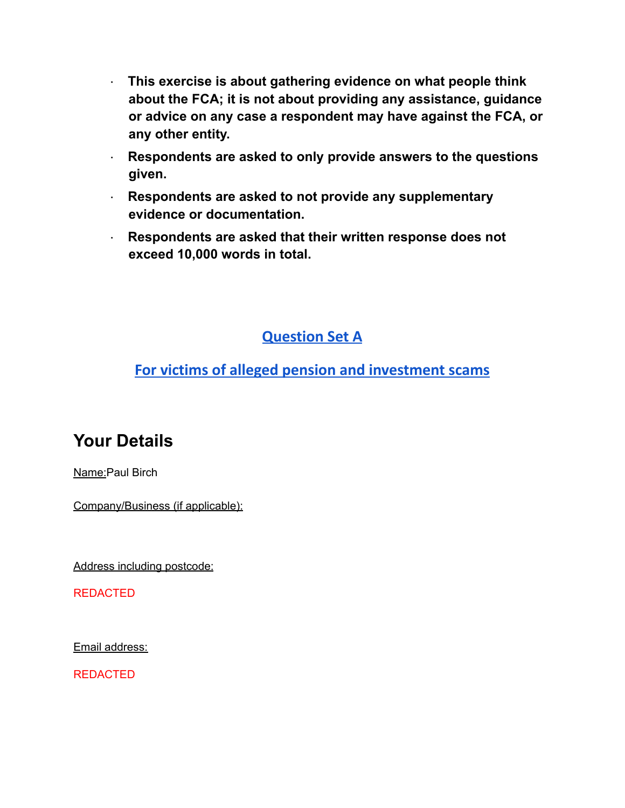- **· This exercise is about gathering evidence on what people think about the FCA; it is not about providing any assistance, guidance or advice on any case a respondent may have against the FCA, or any other entity.**
- **· Respondents are asked to only provide answers to the questions given.**
- **· Respondents are asked to not provide any supplementary evidence or documentation.**
- **· Respondents are asked that their written response does not exceed 10,000 words in total.**

### **Question Set A**

### **For victims of alleged pension and investment scams**

# **Your Details**

Name:Paul Birch

Company/Business (if applicable):

Address including postcode:

REDACTED

Email address:

REDACTED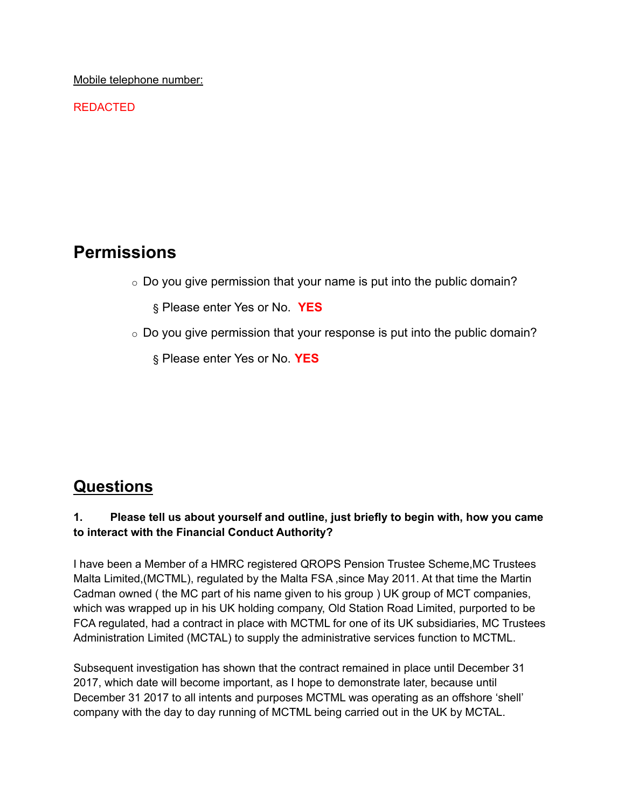Mobile telephone number:

REDACTED

### **Permissions**

 $\circ$  Do you give permission that your name is put into the public domain?

§ Please enter Yes or No. **YES**

 $\circ$  Do you give permission that your response is put into the public domain?

§ Please enter Yes or No. **YES**

### **Questions**

#### **1. Please tell us about yourself and outline, just briefly to begin with, how you came to interact with the Financial Conduct Authority?**

I have been a Member of a HMRC registered QROPS Pension Trustee Scheme,MC Trustees Malta Limited,(MCTML), regulated by the Malta FSA ,since May 2011. At that time the Martin Cadman owned ( the MC part of his name given to his group ) UK group of MCT companies, which was wrapped up in his UK holding company, Old Station Road Limited, purported to be FCA regulated, had a contract in place with MCTML for one of its UK subsidiaries, MC Trustees Administration Limited (MCTAL) to supply the administrative services function to MCTML.

Subsequent investigation has shown that the contract remained in place until December 31 2017, which date will become important, as I hope to demonstrate later, because until December 31 2017 to all intents and purposes MCTML was operating as an offshore 'shell' company with the day to day running of MCTML being carried out in the UK by MCTAL.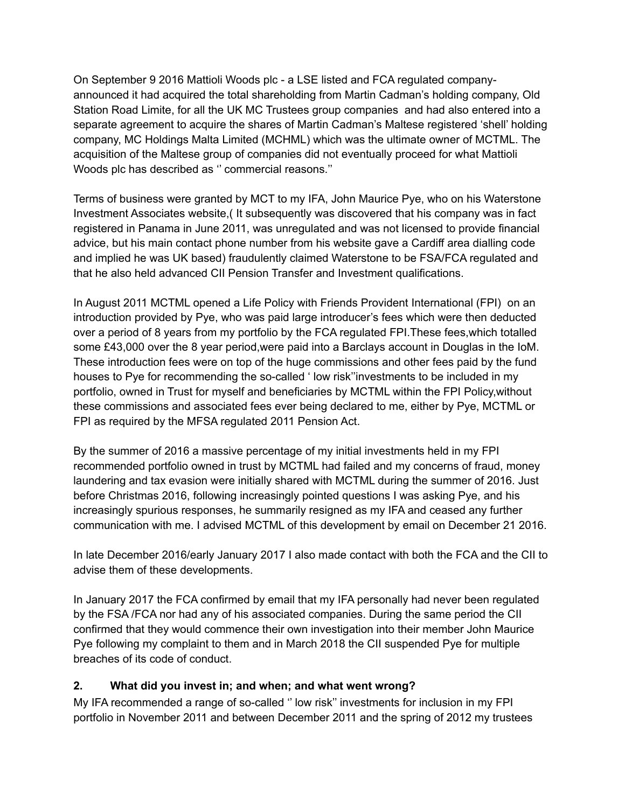On September 9 2016 Mattioli Woods plc - a LSE listed and FCA regulated companyannounced it had acquired the total shareholding from Martin Cadman's holding company, Old Station Road Limite, for all the UK MC Trustees group companies and had also entered into a separate agreement to acquire the shares of Martin Cadman's Maltese registered 'shell' holding company, MC Holdings Malta Limited (MCHML) which was the ultimate owner of MCTML. The acquisition of the Maltese group of companies did not eventually proceed for what Mattioli Woods plc has described as '' commercial reasons.''

Terms of business were granted by MCT to my IFA, John Maurice Pye, who on his Waterstone Investment Associates website,( It subsequently was discovered that his company was in fact registered in Panama in June 2011, was unregulated and was not licensed to provide financial advice, but his main contact phone number from his website gave a Cardiff area dialling code and implied he was UK based) fraudulently claimed Waterstone to be FSA/FCA regulated and that he also held advanced CII Pension Transfer and Investment qualifications.

In August 2011 MCTML opened a Life Policy with Friends Provident International (FPI) on an introduction provided by Pye, who was paid large introducer's fees which were then deducted over a period of 8 years from my portfolio by the FCA regulated FPI.These fees,which totalled some £43,000 over the 8 year period,were paid into a Barclays account in Douglas in the IoM. These introduction fees were on top of the huge commissions and other fees paid by the fund houses to Pye for recommending the so-called ' low risk''investments to be included in my portfolio, owned in Trust for myself and beneficiaries by MCTML within the FPI Policy,without these commissions and associated fees ever being declared to me, either by Pye, MCTML or FPI as required by the MFSA regulated 2011 Pension Act.

By the summer of 2016 a massive percentage of my initial investments held in my FPI recommended portfolio owned in trust by MCTML had failed and my concerns of fraud, money laundering and tax evasion were initially shared with MCTML during the summer of 2016. Just before Christmas 2016, following increasingly pointed questions I was asking Pye, and his increasingly spurious responses, he summarily resigned as my IFA and ceased any further communication with me. I advised MCTML of this development by email on December 21 2016.

In late December 2016/early January 2017 I also made contact with both the FCA and the CII to advise them of these developments.

In January 2017 the FCA confirmed by email that my IFA personally had never been regulated by the FSA /FCA nor had any of his associated companies. During the same period the CII confirmed that they would commence their own investigation into their member John Maurice Pye following my complaint to them and in March 2018 the CII suspended Pye for multiple breaches of its code of conduct.

#### **2. What did you invest in; and when; and what went wrong?**

My IFA recommended a range of so-called '' low risk'' investments for inclusion in my FPI portfolio in November 2011 and between December 2011 and the spring of 2012 my trustees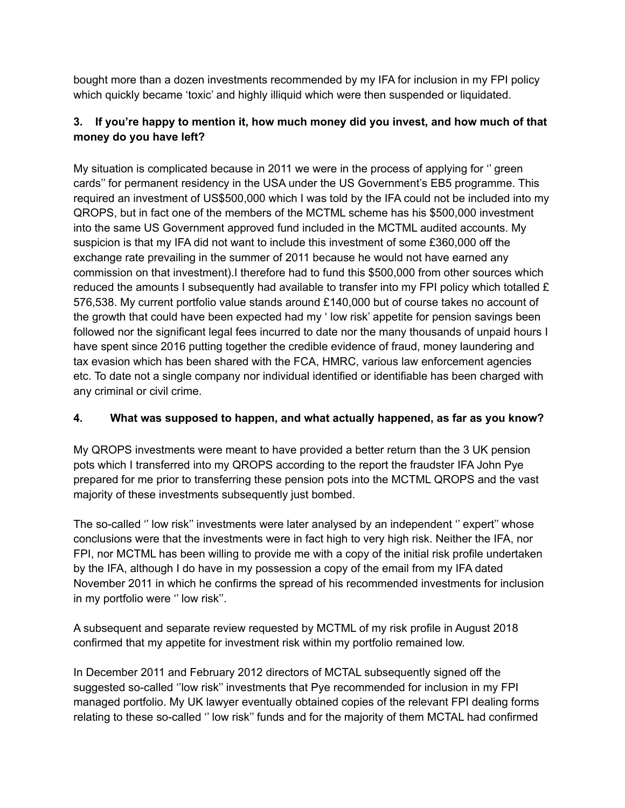bought more than a dozen investments recommended by my IFA for inclusion in my FPI policy which quickly became 'toxic' and highly illiquid which were then suspended or liquidated.

#### **3. If you're happy to mention it, how much money did you invest, and how much of that money do you have left?**

My situation is complicated because in 2011 we were in the process of applying for '' green cards'' for permanent residency in the USA under the US Government's EB5 programme. This required an investment of US\$500,000 which I was told by the IFA could not be included into my QROPS, but in fact one of the members of the MCTML scheme has his \$500,000 investment into the same US Government approved fund included in the MCTML audited accounts. My suspicion is that my IFA did not want to include this investment of some £360,000 off the exchange rate prevailing in the summer of 2011 because he would not have earned any commission on that investment).I therefore had to fund this \$500,000 from other sources which reduced the amounts I subsequently had available to transfer into my FPI policy which totalled £ 576,538. My current portfolio value stands around £140,000 but of course takes no account of the growth that could have been expected had my ' low risk' appetite for pension savings been followed nor the significant legal fees incurred to date nor the many thousands of unpaid hours I have spent since 2016 putting together the credible evidence of fraud, money laundering and tax evasion which has been shared with the FCA, HMRC, various law enforcement agencies etc. To date not a single company nor individual identified or identifiable has been charged with any criminal or civil crime.

#### **4. What was supposed to happen, and what actually happened, as far as you know?**

My QROPS investments were meant to have provided a better return than the 3 UK pension pots which I transferred into my QROPS according to the report the fraudster IFA John Pye prepared for me prior to transferring these pension pots into the MCTML QROPS and the vast majority of these investments subsequently just bombed.

The so-called '' low risk'' investments were later analysed by an independent '' expert'' whose conclusions were that the investments were in fact high to very high risk. Neither the IFA, nor FPI, nor MCTML has been willing to provide me with a copy of the initial risk profile undertaken by the IFA, although I do have in my possession a copy of the email from my IFA dated November 2011 in which he confirms the spread of his recommended investments for inclusion in my portfolio were '' low risk''.

A subsequent and separate review requested by MCTML of my risk profile in August 2018 confirmed that my appetite for investment risk within my portfolio remained low.

In December 2011 and February 2012 directors of MCTAL subsequently signed off the suggested so-called ''low risk'' investments that Pye recommended for inclusion in my FPI managed portfolio. My UK lawyer eventually obtained copies of the relevant FPI dealing forms relating to these so-called '' low risk'' funds and for the majority of them MCTAL had confirmed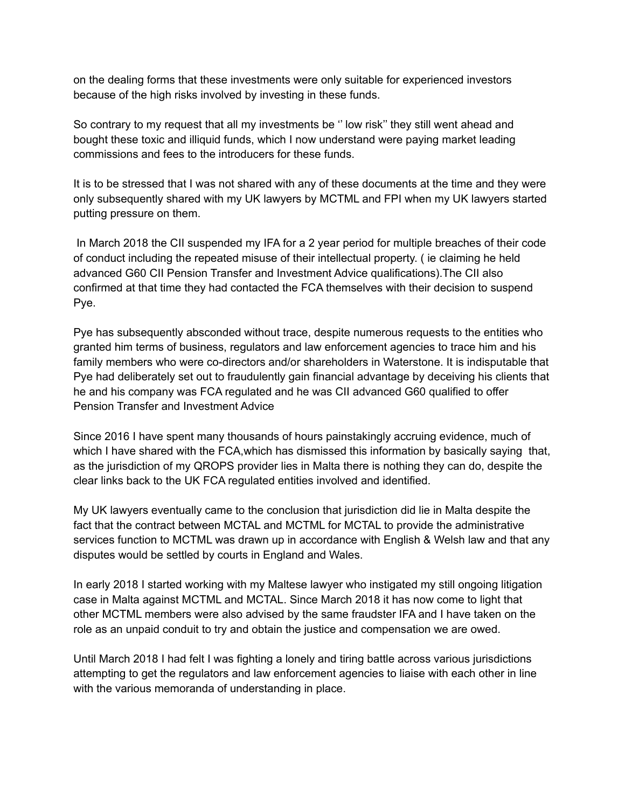on the dealing forms that these investments were only suitable for experienced investors because of the high risks involved by investing in these funds.

So contrary to my request that all my investments be '' low risk'' they still went ahead and bought these toxic and illiquid funds, which I now understand were paying market leading commissions and fees to the introducers for these funds.

It is to be stressed that I was not shared with any of these documents at the time and they were only subsequently shared with my UK lawyers by MCTML and FPI when my UK lawyers started putting pressure on them.

In March 2018 the CII suspended my IFA for a 2 year period for multiple breaches of their code of conduct including the repeated misuse of their intellectual property. ( ie claiming he held advanced G60 CII Pension Transfer and Investment Advice qualifications).The CII also confirmed at that time they had contacted the FCA themselves with their decision to suspend Pye.

Pye has subsequently absconded without trace, despite numerous requests to the entities who granted him terms of business, regulators and law enforcement agencies to trace him and his family members who were co-directors and/or shareholders in Waterstone. It is indisputable that Pye had deliberately set out to fraudulently gain financial advantage by deceiving his clients that he and his company was FCA regulated and he was CII advanced G60 qualified to offer Pension Transfer and Investment Advice

Since 2016 I have spent many thousands of hours painstakingly accruing evidence, much of which I have shared with the FCA, which has dismissed this information by basically saying that, as the jurisdiction of my QROPS provider lies in Malta there is nothing they can do, despite the clear links back to the UK FCA regulated entities involved and identified.

My UK lawyers eventually came to the conclusion that jurisdiction did lie in Malta despite the fact that the contract between MCTAL and MCTML for MCTAL to provide the administrative services function to MCTML was drawn up in accordance with English & Welsh law and that any disputes would be settled by courts in England and Wales.

In early 2018 I started working with my Maltese lawyer who instigated my still ongoing litigation case in Malta against MCTML and MCTAL. Since March 2018 it has now come to light that other MCTML members were also advised by the same fraudster IFA and I have taken on the role as an unpaid conduit to try and obtain the justice and compensation we are owed.

Until March 2018 I had felt I was fighting a lonely and tiring battle across various jurisdictions attempting to get the regulators and law enforcement agencies to liaise with each other in line with the various memoranda of understanding in place.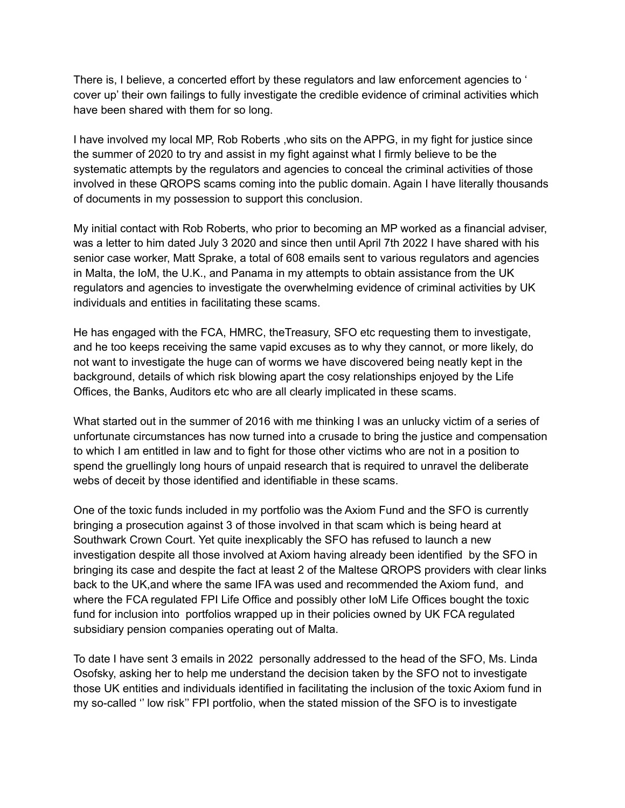There is, I believe, a concerted effort by these regulators and law enforcement agencies to ' cover up' their own failings to fully investigate the credible evidence of criminal activities which have been shared with them for so long.

I have involved my local MP, Rob Roberts ,who sits on the APPG, in my fight for justice since the summer of 2020 to try and assist in my fight against what I firmly believe to be the systematic attempts by the regulators and agencies to conceal the criminal activities of those involved in these QROPS scams coming into the public domain. Again I have literally thousands of documents in my possession to support this conclusion.

My initial contact with Rob Roberts, who prior to becoming an MP worked as a financial adviser, was a letter to him dated July 3 2020 and since then until April 7th 2022 I have shared with his senior case worker, Matt Sprake, a total of 608 emails sent to various regulators and agencies in Malta, the IoM, the U.K., and Panama in my attempts to obtain assistance from the UK regulators and agencies to investigate the overwhelming evidence of criminal activities by UK individuals and entities in facilitating these scams.

He has engaged with the FCA, HMRC, theTreasury, SFO etc requesting them to investigate, and he too keeps receiving the same vapid excuses as to why they cannot, or more likely, do not want to investigate the huge can of worms we have discovered being neatly kept in the background, details of which risk blowing apart the cosy relationships enjoyed by the Life Offices, the Banks, Auditors etc who are all clearly implicated in these scams.

What started out in the summer of 2016 with me thinking I was an unlucky victim of a series of unfortunate circumstances has now turned into a crusade to bring the justice and compensation to which I am entitled in law and to fight for those other victims who are not in a position to spend the gruellingly long hours of unpaid research that is required to unravel the deliberate webs of deceit by those identified and identifiable in these scams.

One of the toxic funds included in my portfolio was the Axiom Fund and the SFO is currently bringing a prosecution against 3 of those involved in that scam which is being heard at Southwark Crown Court. Yet quite inexplicably the SFO has refused to launch a new investigation despite all those involved at Axiom having already been identified by the SFO in bringing its case and despite the fact at least 2 of the Maltese QROPS providers with clear links back to the UK,and where the same IFA was used and recommended the Axiom fund, and where the FCA regulated FPI Life Office and possibly other IoM Life Offices bought the toxic fund for inclusion into portfolios wrapped up in their policies owned by UK FCA regulated subsidiary pension companies operating out of Malta.

To date I have sent 3 emails in 2022 personally addressed to the head of the SFO, Ms. Linda Osofsky, asking her to help me understand the decision taken by the SFO not to investigate those UK entities and individuals identified in facilitating the inclusion of the toxic Axiom fund in my so-called '' low risk'' FPI portfolio, when the stated mission of the SFO is to investigate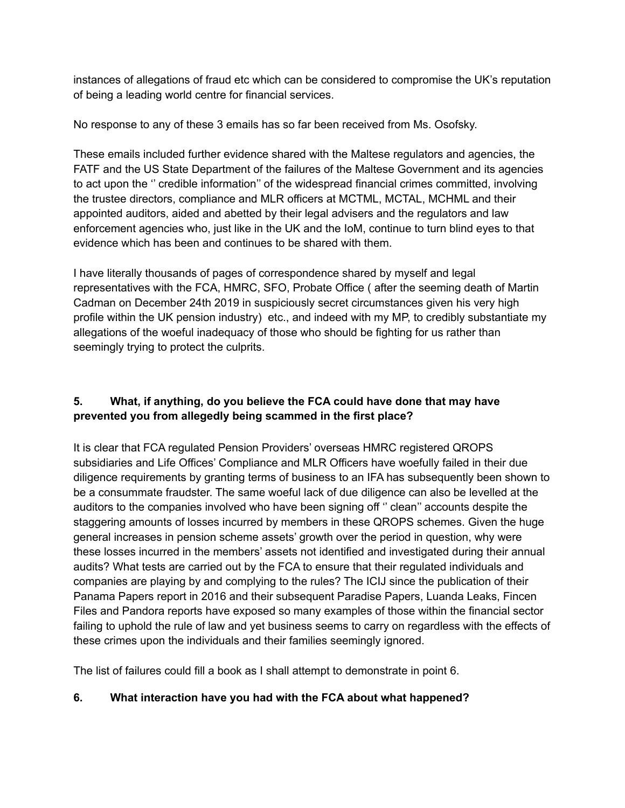instances of allegations of fraud etc which can be considered to compromise the UK's reputation of being a leading world centre for financial services.

No response to any of these 3 emails has so far been received from Ms. Osofsky.

These emails included further evidence shared with the Maltese regulators and agencies, the FATF and the US State Department of the failures of the Maltese Government and its agencies to act upon the '' credible information'' of the widespread financial crimes committed, involving the trustee directors, compliance and MLR officers at MCTML, MCTAL, MCHML and their appointed auditors, aided and abetted by their legal advisers and the regulators and law enforcement agencies who, just like in the UK and the IoM, continue to turn blind eyes to that evidence which has been and continues to be shared with them.

I have literally thousands of pages of correspondence shared by myself and legal representatives with the FCA, HMRC, SFO, Probate Office ( after the seeming death of Martin Cadman on December 24th 2019 in suspiciously secret circumstances given his very high profile within the UK pension industry) etc., and indeed with my MP, to credibly substantiate my allegations of the woeful inadequacy of those who should be fighting for us rather than seemingly trying to protect the culprits.

#### **5. What, if anything, do you believe the FCA could have done that may have prevented you from allegedly being scammed in the first place?**

It is clear that FCA regulated Pension Providers' overseas HMRC registered QROPS subsidiaries and Life Offices' Compliance and MLR Officers have woefully failed in their due diligence requirements by granting terms of business to an IFA has subsequently been shown to be a consummate fraudster. The same woeful lack of due diligence can also be levelled at the auditors to the companies involved who have been signing off '' clean'' accounts despite the staggering amounts of losses incurred by members in these QROPS schemes. Given the huge general increases in pension scheme assets' growth over the period in question, why were these losses incurred in the members' assets not identified and investigated during their annual audits? What tests are carried out by the FCA to ensure that their regulated individuals and companies are playing by and complying to the rules? The ICIJ since the publication of their Panama Papers report in 2016 and their subsequent Paradise Papers, Luanda Leaks, Fincen Files and Pandora reports have exposed so many examples of those within the financial sector failing to uphold the rule of law and yet business seems to carry on regardless with the effects of these crimes upon the individuals and their families seemingly ignored.

The list of failures could fill a book as I shall attempt to demonstrate in point 6.

#### **6. What interaction have you had with the FCA about what happened?**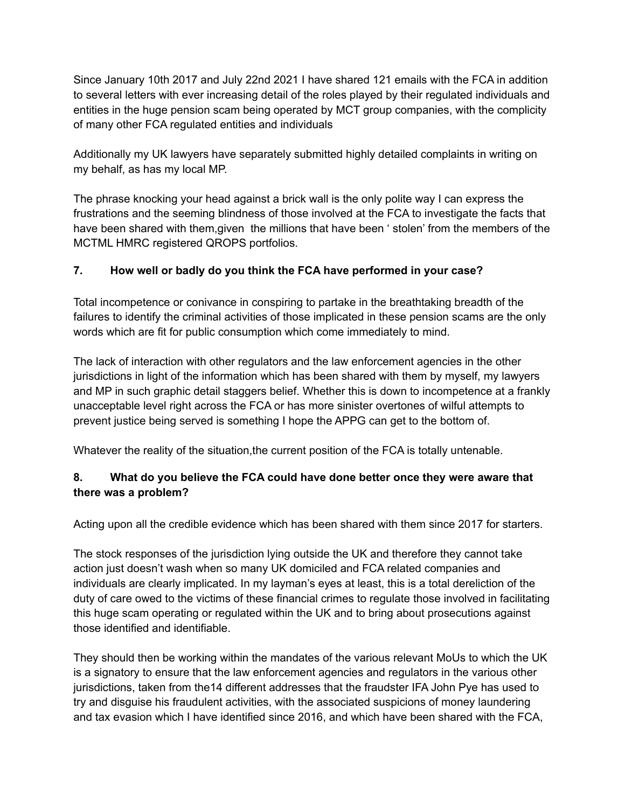Since January 10th 2017 and July 22nd 2021 I have shared 121 emails with the FCA in addition to several letters with ever increasing detail of the roles played by their regulated individuals and entities in the huge pension scam being operated by MCT group companies, with the complicity of many other FCA regulated entities and individuals

Additionally my UK lawyers have separately submitted highly detailed complaints in writing on my behalf, as has my local MP.

The phrase knocking your head against a brick wall is the only polite way I can express the frustrations and the seeming blindness of those involved at the FCA to investigate the facts that have been shared with them,given the millions that have been ' stolen' from the members of the MCTML HMRC registered QROPS portfolios.

#### **7. How well or badly do you think the FCA have performed in your case?**

Total incompetence or conivance in conspiring to partake in the breathtaking breadth of the failures to identify the criminal activities of those implicated in these pension scams are the only words which are fit for public consumption which come immediately to mind.

The lack of interaction with other regulators and the law enforcement agencies in the other jurisdictions in light of the information which has been shared with them by myself, my lawyers and MP in such graphic detail staggers belief. Whether this is down to incompetence at a frankly unacceptable level right across the FCA or has more sinister overtones of wilful attempts to prevent justice being served is something I hope the APPG can get to the bottom of.

Whatever the reality of the situation, the current position of the FCA is totally untenable.

#### **8. What do you believe the FCA could have done better once they were aware that there was a problem?**

Acting upon all the credible evidence which has been shared with them since 2017 for starters.

The stock responses of the jurisdiction lying outside the UK and therefore they cannot take action just doesn't wash when so many UK domiciled and FCA related companies and individuals are clearly implicated. In my layman's eyes at least, this is a total dereliction of the duty of care owed to the victims of these financial crimes to regulate those involved in facilitating this huge scam operating or regulated within the UK and to bring about prosecutions against those identified and identifiable.

They should then be working within the mandates of the various relevant MoUs to which the UK is a signatory to ensure that the law enforcement agencies and regulators in the various other jurisdictions, taken from the14 different addresses that the fraudster IFA John Pye has used to try and disguise his fraudulent activities, with the associated suspicions of money laundering and tax evasion which I have identified since 2016, and which have been shared with the FCA,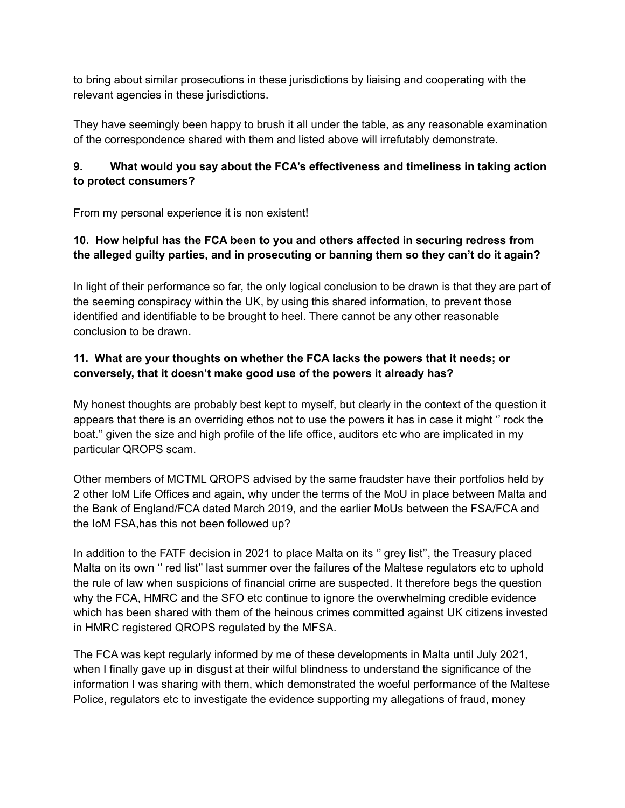to bring about similar prosecutions in these jurisdictions by liaising and cooperating with the relevant agencies in these jurisdictions.

They have seemingly been happy to brush it all under the table, as any reasonable examination of the correspondence shared with them and listed above will irrefutably demonstrate.

#### **9. What would you say about the FCA's effectiveness and timeliness in taking action to protect consumers?**

From my personal experience it is non existent!

#### **10. How helpful has the FCA been to you and others affected in securing redress from the alleged guilty parties, and in prosecuting or banning them so they can't do it again?**

In light of their performance so far, the only logical conclusion to be drawn is that they are part of the seeming conspiracy within the UK, by using this shared information, to prevent those identified and identifiable to be brought to heel. There cannot be any other reasonable conclusion to be drawn.

#### **11. What are your thoughts on whether the FCA lacks the powers that it needs; or conversely, that it doesn't make good use of the powers it already has?**

My honest thoughts are probably best kept to myself, but clearly in the context of the question it appears that there is an overriding ethos not to use the powers it has in case it might '' rock the boat.'' given the size and high profile of the life office, auditors etc who are implicated in my particular QROPS scam.

Other members of MCTML QROPS advised by the same fraudster have their portfolios held by 2 other IoM Life Offices and again, why under the terms of the MoU in place between Malta and the Bank of England/FCA dated March 2019, and the earlier MoUs between the FSA/FCA and the IoM FSA,has this not been followed up?

In addition to the FATF decision in 2021 to place Malta on its '' grey list'', the Treasury placed Malta on its own '' red list'' last summer over the failures of the Maltese regulators etc to uphold the rule of law when suspicions of financial crime are suspected. It therefore begs the question why the FCA, HMRC and the SFO etc continue to ignore the overwhelming credible evidence which has been shared with them of the heinous crimes committed against UK citizens invested in HMRC registered QROPS regulated by the MFSA.

The FCA was kept regularly informed by me of these developments in Malta until July 2021, when I finally gave up in disgust at their wilful blindness to understand the significance of the information I was sharing with them, which demonstrated the woeful performance of the Maltese Police, regulators etc to investigate the evidence supporting my allegations of fraud, money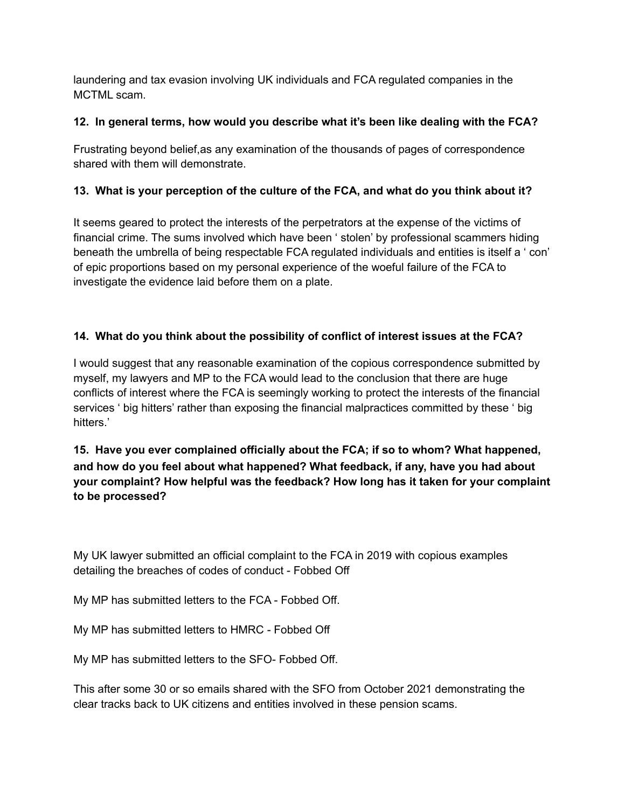laundering and tax evasion involving UK individuals and FCA regulated companies in the MCTML scam.

#### **12. In general terms, how would you describe what it's been like dealing with the FCA?**

Frustrating beyond belief,as any examination of the thousands of pages of correspondence shared with them will demonstrate.

#### **13. What is your perception of the culture of the FCA, and what do you think about it?**

It seems geared to protect the interests of the perpetrators at the expense of the victims of financial crime. The sums involved which have been ' stolen' by professional scammers hiding beneath the umbrella of being respectable FCA regulated individuals and entities is itself a ' con' of epic proportions based on my personal experience of the woeful failure of the FCA to investigate the evidence laid before them on a plate.

#### **14. What do you think about the possibility of conflict of interest issues at the FCA?**

I would suggest that any reasonable examination of the copious correspondence submitted by myself, my lawyers and MP to the FCA would lead to the conclusion that there are huge conflicts of interest where the FCA is seemingly working to protect the interests of the financial services ' big hitters' rather than exposing the financial malpractices committed by these ' big hitters.'

#### **15. Have you ever complained officially about the FCA; if so to whom? What happened, and how do you feel about what happened? What feedback, if any, have you had about your complaint? How helpful was the feedback? How long has it taken for your complaint to be processed?**

My UK lawyer submitted an official complaint to the FCA in 2019 with copious examples detailing the breaches of codes of conduct - Fobbed Off

My MP has submitted letters to the FCA - Fobbed Off.

My MP has submitted letters to HMRC - Fobbed Off

My MP has submitted letters to the SFO- Fobbed Off.

This after some 30 or so emails shared with the SFO from October 2021 demonstrating the clear tracks back to UK citizens and entities involved in these pension scams.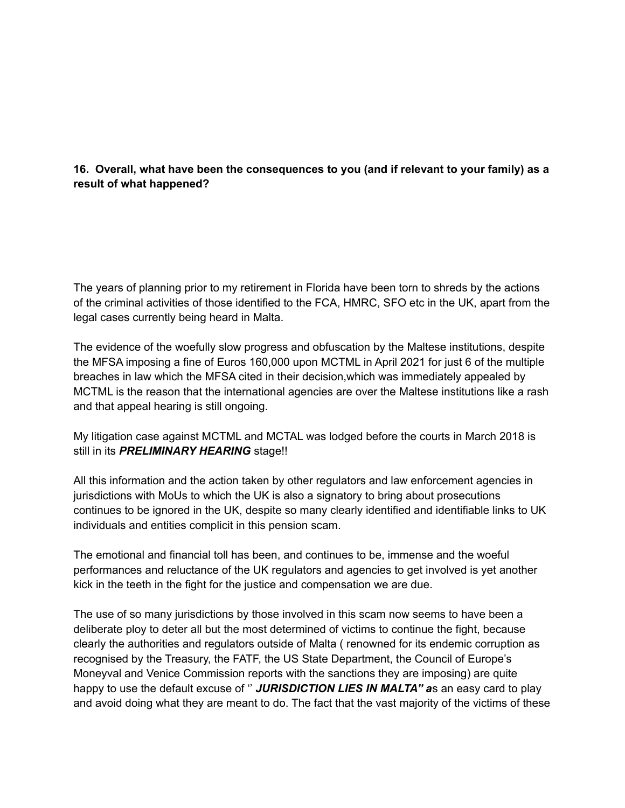#### **16. Overall, what have been the consequences to you (and if relevant to your family) as a result of what happened?**

The years of planning prior to my retirement in Florida have been torn to shreds by the actions of the criminal activities of those identified to the FCA, HMRC, SFO etc in the UK, apart from the legal cases currently being heard in Malta.

The evidence of the woefully slow progress and obfuscation by the Maltese institutions, despite the MFSA imposing a fine of Euros 160,000 upon MCTML in April 2021 for just 6 of the multiple breaches in law which the MFSA cited in their decision,which was immediately appealed by MCTML is the reason that the international agencies are over the Maltese institutions like a rash and that appeal hearing is still ongoing.

My litigation case against MCTML and MCTAL was lodged before the courts in March 2018 is still in its *PRELIMINARY HEARING* stage!!

All this information and the action taken by other regulators and law enforcement agencies in jurisdictions with MoUs to which the UK is also a signatory to bring about prosecutions continues to be ignored in the UK, despite so many clearly identified and identifiable links to UK individuals and entities complicit in this pension scam.

The emotional and financial toll has been, and continues to be, immense and the woeful performances and reluctance of the UK regulators and agencies to get involved is yet another kick in the teeth in the fight for the justice and compensation we are due.

The use of so many jurisdictions by those involved in this scam now seems to have been a deliberate ploy to deter all but the most determined of victims to continue the fight, because clearly the authorities and regulators outside of Malta ( renowned for its endemic corruption as recognised by the Treasury, the FATF, the US State Department, the Council of Europe's Moneyval and Venice Commission reports with the sanctions they are imposing) are quite happy to use the default excuse of '' *JURISDICTION LIES IN MALTA'' a*s an easy card to play and avoid doing what they are meant to do. The fact that the vast majority of the victims of these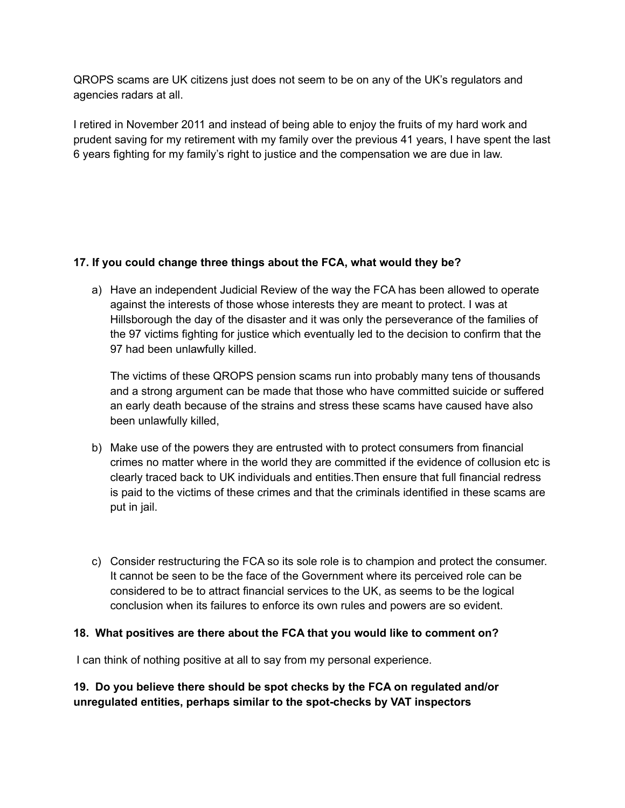QROPS scams are UK citizens just does not seem to be on any of the UK's regulators and agencies radars at all.

I retired in November 2011 and instead of being able to enjoy the fruits of my hard work and prudent saving for my retirement with my family over the previous 41 years, I have spent the last 6 years fighting for my family's right to justice and the compensation we are due in law.

#### **17. If you could change three things about the FCA, what would they be?**

a) Have an independent Judicial Review of the way the FCA has been allowed to operate against the interests of those whose interests they are meant to protect. I was at Hillsborough the day of the disaster and it was only the perseverance of the families of the 97 victims fighting for justice which eventually led to the decision to confirm that the 97 had been unlawfully killed.

The victims of these QROPS pension scams run into probably many tens of thousands and a strong argument can be made that those who have committed suicide or suffered an early death because of the strains and stress these scams have caused have also been unlawfully killed,

- b) Make use of the powers they are entrusted with to protect consumers from financial crimes no matter where in the world they are committed if the evidence of collusion etc is clearly traced back to UK individuals and entities.Then ensure that full financial redress is paid to the victims of these crimes and that the criminals identified in these scams are put in jail.
- c) Consider restructuring the FCA so its sole role is to champion and protect the consumer. It cannot be seen to be the face of the Government where its perceived role can be considered to be to attract financial services to the UK, as seems to be the logical conclusion when its failures to enforce its own rules and powers are so evident.

#### **18. What positives are there about the FCA that you would like to comment on?**

I can think of nothing positive at all to say from my personal experience.

**19. Do you believe there should be spot checks by the FCA on regulated and/or unregulated entities, perhaps similar to the spot-checks by VAT inspectors**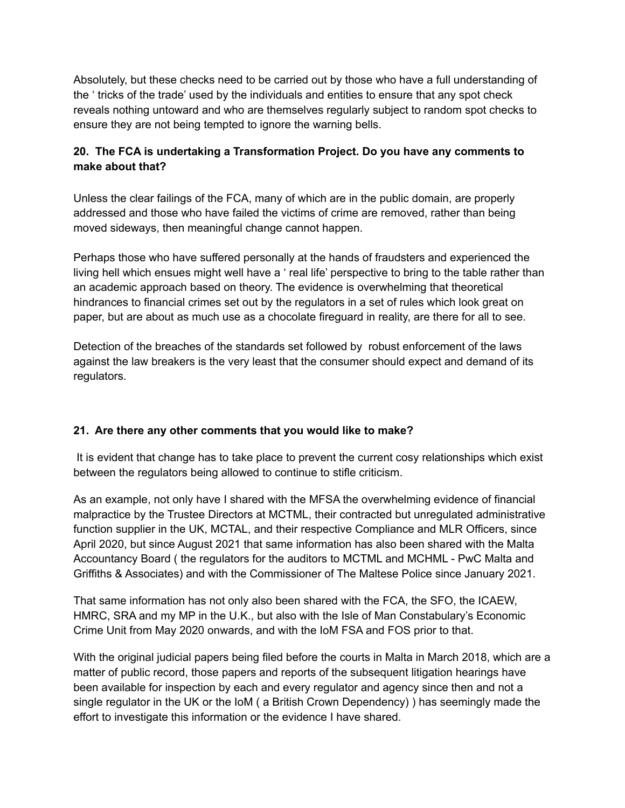Absolutely, but these checks need to be carried out by those who have a full understanding of the ' tricks of the trade' used by the individuals and entities to ensure that any spot check reveals nothing untoward and who are themselves regularly subject to random spot checks to ensure they are not being tempted to ignore the warning bells.

#### **20. The FCA is undertaking a Transformation Project. Do you have any comments to make about that?**

Unless the clear failings of the FCA, many of which are in the public domain, are properly addressed and those who have failed the victims of crime are removed, rather than being moved sideways, then meaningful change cannot happen.

Perhaps those who have suffered personally at the hands of fraudsters and experienced the living hell which ensues might well have a ' real life' perspective to bring to the table rather than an academic approach based on theory. The evidence is overwhelming that theoretical hindrances to financial crimes set out by the regulators in a set of rules which look great on paper, but are about as much use as a chocolate fireguard in reality, are there for all to see.

Detection of the breaches of the standards set followed by robust enforcement of the laws against the law breakers is the very least that the consumer should expect and demand of its regulators.

#### **21. Are there any other comments that you would like to make?**

It is evident that change has to take place to prevent the current cosy relationships which exist between the regulators being allowed to continue to stifle criticism.

As an example, not only have I shared with the MFSA the overwhelming evidence of financial malpractice by the Trustee Directors at MCTML, their contracted but unregulated administrative function supplier in the UK, MCTAL, and their respective Compliance and MLR Officers, since April 2020, but since August 2021 that same information has also been shared with the Malta Accountancy Board ( the regulators for the auditors to MCTML and MCHML - PwC Malta and Griffiths & Associates) and with the Commissioner of The Maltese Police since January 2021.

That same information has not only also been shared with the FCA, the SFO, the ICAEW, HMRC, SRA and my MP in the U.K., but also with the Isle of Man Constabulary's Economic Crime Unit from May 2020 onwards, and with the IoM FSA and FOS prior to that.

With the original judicial papers being filed before the courts in Malta in March 2018, which are a matter of public record, those papers and reports of the subsequent litigation hearings have been available for inspection by each and every regulator and agency since then and not a single regulator in the UK or the IoM ( a British Crown Dependency) ) has seemingly made the effort to investigate this information or the evidence I have shared.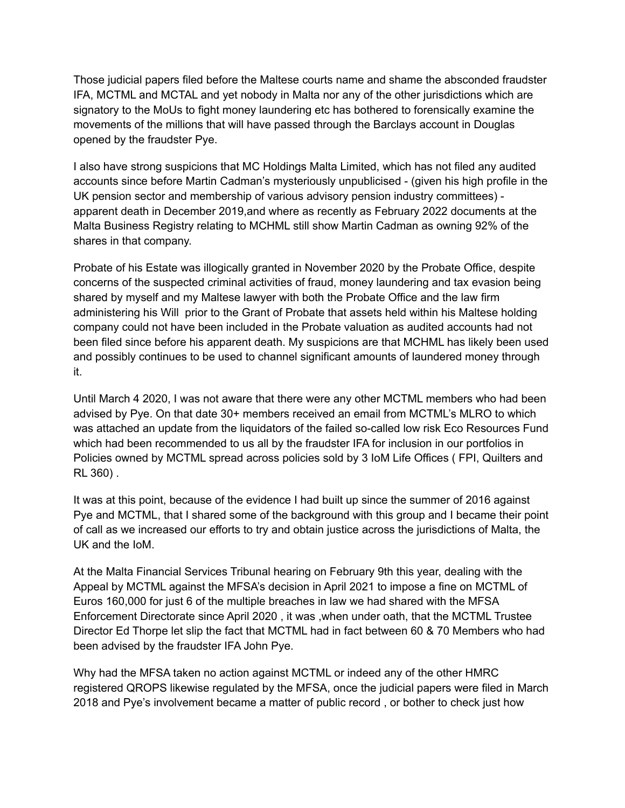Those judicial papers filed before the Maltese courts name and shame the absconded fraudster IFA, MCTML and MCTAL and yet nobody in Malta nor any of the other jurisdictions which are signatory to the MoUs to fight money laundering etc has bothered to forensically examine the movements of the millions that will have passed through the Barclays account in Douglas opened by the fraudster Pye.

I also have strong suspicions that MC Holdings Malta Limited, which has not filed any audited accounts since before Martin Cadman's mysteriously unpublicised - (given his high profile in the UK pension sector and membership of various advisory pension industry committees) apparent death in December 2019,and where as recently as February 2022 documents at the Malta Business Registry relating to MCHML still show Martin Cadman as owning 92% of the shares in that company.

Probate of his Estate was illogically granted in November 2020 by the Probate Office, despite concerns of the suspected criminal activities of fraud, money laundering and tax evasion being shared by myself and my Maltese lawyer with both the Probate Office and the law firm administering his Will prior to the Grant of Probate that assets held within his Maltese holding company could not have been included in the Probate valuation as audited accounts had not been filed since before his apparent death. My suspicions are that MCHML has likely been used and possibly continues to be used to channel significant amounts of laundered money through it.

Until March 4 2020, I was not aware that there were any other MCTML members who had been advised by Pye. On that date 30+ members received an email from MCTML's MLRO to which was attached an update from the liquidators of the failed so-called low risk Eco Resources Fund which had been recommended to us all by the fraudster IFA for inclusion in our portfolios in Policies owned by MCTML spread across policies sold by 3 IoM Life Offices ( FPI, Quilters and RL 360) .

It was at this point, because of the evidence I had built up since the summer of 2016 against Pye and MCTML, that I shared some of the background with this group and I became their point of call as we increased our efforts to try and obtain justice across the jurisdictions of Malta, the UK and the IoM.

At the Malta Financial Services Tribunal hearing on February 9th this year, dealing with the Appeal by MCTML against the MFSA's decision in April 2021 to impose a fine on MCTML of Euros 160,000 for just 6 of the multiple breaches in law we had shared with the MFSA Enforcement Directorate since April 2020 , it was ,when under oath, that the MCTML Trustee Director Ed Thorpe let slip the fact that MCTML had in fact between 60 & 70 Members who had been advised by the fraudster IFA John Pye.

Why had the MFSA taken no action against MCTML or indeed any of the other HMRC registered QROPS likewise regulated by the MFSA, once the judicial papers were filed in March 2018 and Pye's involvement became a matter of public record , or bother to check just how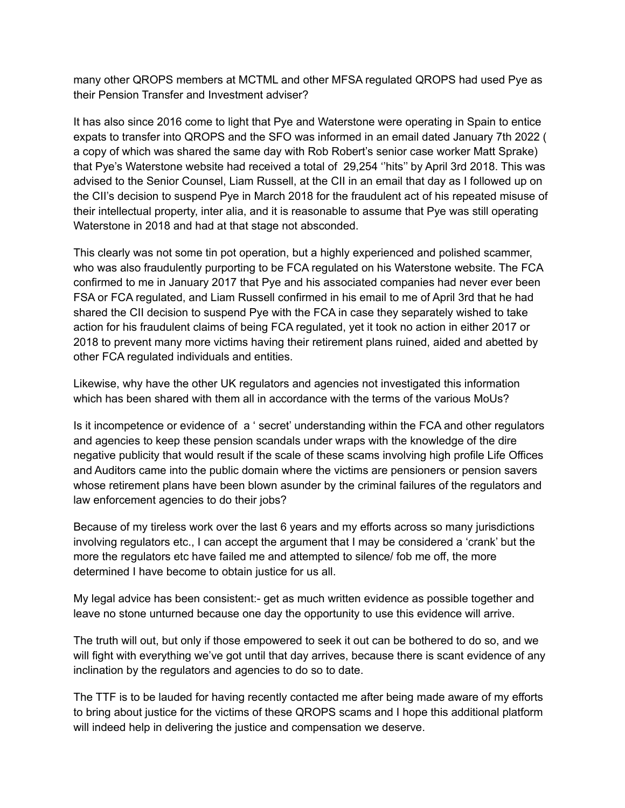many other QROPS members at MCTML and other MFSA regulated QROPS had used Pye as their Pension Transfer and Investment adviser?

It has also since 2016 come to light that Pye and Waterstone were operating in Spain to entice expats to transfer into QROPS and the SFO was informed in an email dated January 7th 2022 ( a copy of which was shared the same day with Rob Robert's senior case worker Matt Sprake) that Pye's Waterstone website had received a total of 29,254 ''hits'' by April 3rd 2018. This was advised to the Senior Counsel, Liam Russell, at the CII in an email that day as I followed up on the CII's decision to suspend Pye in March 2018 for the fraudulent act of his repeated misuse of their intellectual property, inter alia, and it is reasonable to assume that Pye was still operating Waterstone in 2018 and had at that stage not absconded.

This clearly was not some tin pot operation, but a highly experienced and polished scammer, who was also fraudulently purporting to be FCA regulated on his Waterstone website. The FCA confirmed to me in January 2017 that Pye and his associated companies had never ever been FSA or FCA regulated, and Liam Russell confirmed in his email to me of April 3rd that he had shared the CII decision to suspend Pye with the FCA in case they separately wished to take action for his fraudulent claims of being FCA regulated, yet it took no action in either 2017 or 2018 to prevent many more victims having their retirement plans ruined, aided and abetted by other FCA regulated individuals and entities.

Likewise, why have the other UK regulators and agencies not investigated this information which has been shared with them all in accordance with the terms of the various MoUs?

Is it incompetence or evidence of a ' secret' understanding within the FCA and other regulators and agencies to keep these pension scandals under wraps with the knowledge of the dire negative publicity that would result if the scale of these scams involving high profile Life Offices and Auditors came into the public domain where the victims are pensioners or pension savers whose retirement plans have been blown asunder by the criminal failures of the regulators and law enforcement agencies to do their jobs?

Because of my tireless work over the last 6 years and my efforts across so many jurisdictions involving regulators etc., I can accept the argument that I may be considered a 'crank' but the more the regulators etc have failed me and attempted to silence/ fob me off, the more determined I have become to obtain justice for us all.

My legal advice has been consistent:- get as much written evidence as possible together and leave no stone unturned because one day the opportunity to use this evidence will arrive.

The truth will out, but only if those empowered to seek it out can be bothered to do so, and we will fight with everything we've got until that day arrives, because there is scant evidence of any inclination by the regulators and agencies to do so to date.

The TTF is to be lauded for having recently contacted me after being made aware of my efforts to bring about justice for the victims of these QROPS scams and I hope this additional platform will indeed help in delivering the justice and compensation we deserve.